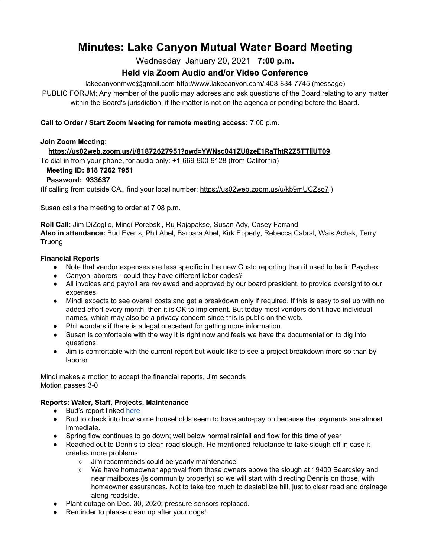# **Minutes: Lake Canyon Mutual Water Board Meeting**

Wednesday January 20, 2021 **7:00 p.m.**

# **Held via Zoom Audio and/or Video Conference**

lakecanyonmwc@gmail.com http://www.lakecanyon.com/ 408-834-7745 (message)

PUBLIC FORUM: Any member of the public may address and ask questions of the Board relating to any matter within the Board's jurisdiction, if the matter is not on the agenda or pending before the Board.

# **Call to Order / Start Zoom Meeting for remote meeting access:** 7:00 p.m.

#### **Join Zoom Meeting:**

# **<https://us02web.zoom.us/j/81872627951?pwd=YWNsc041ZU8zeE1RaThtR2Z5TTllUT09>**

To dial in from your phone, for audio only: +1-669-900-9128 (from California)

#### **Meeting ID: 818 7262 7951**

# **Password: 933637**

(If calling from outside CA., find your local number[:](https://us02web.zoom.us/u/kb9mUCZso7) <https://us02web.zoom.us/u/kb9mUCZso7> )

Susan calls the meeting to order at 7:08 p.m.

**Roll Call:** Jim DiZoglio, Mindi Porebski, Ru Rajapakse, Susan Ady, Casey Farrand **Also in attendance:** Bud Everts, Phil Abel, Barbara Abel, Kirk Epperly, Rebecca Cabral, Wais Achak, Terry Truong

#### **Financial Reports**

- Note that vendor expenses are less specific in the new Gusto reporting than it used to be in Paychex
- Canyon laborers could they have different labor codes?
- All invoices and payroll are reviewed and approved by our board president, to provide oversight to our expenses.
- Mindi expects to see overall costs and get a breakdown only if required. If this is easy to set up with no added effort every month, then it is OK to implement. But today most vendors don't have individual names, which may also be a privacy concern since this is public on the web.
- Phil wonders if there is a legal precedent for getting more information.
- Susan is comfortable with the way it is right now and feels we have the documentation to dig into questions.
- Jim is comfortable with the current report but would like to see a project breakdown more so than by laborer

Mindi makes a motion to accept the financial reports, Jim seconds Motion passes 3-0

# **Reports: Water, Staff, Projects, Maintenance**

- **●** Bud's report linked [here](https://7e761103-1889-4c62-a205-c99a02daa857.usrfiles.com/ugd/7e7611_54b8bf4449424dbfa1ca8606542b3c34.pdf)
- Bud to check into how some households seem to have auto-pay on because the payments are almost immediate.
- Spring flow continues to go down; well below normal rainfall and flow for this time of year
- Reached out to Dennis to clean road slough. He mentioned reluctance to take slough off in case it creates more problems
	- Jim recommends could be yearly maintenance
	- We have homeowner approval from those owners above the slough at 19400 Beardsley and near mailboxes (is community property) so we will start with directing Dennis on those, with homeowner assurances. Not to take too much to destabilize hill, just to clear road and drainage along roadside.
- Plant outage on Dec. 30, 2020; pressure sensors replaced.
- Reminder to please clean up after your dogs!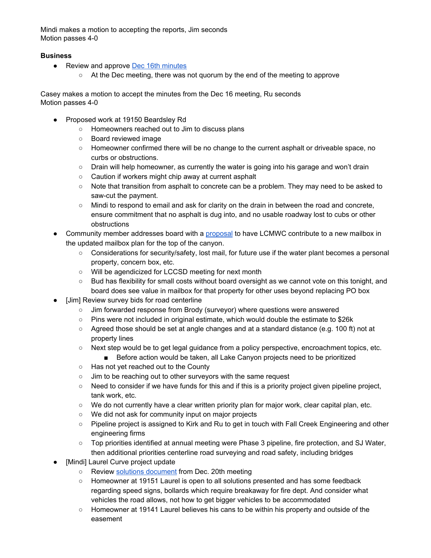Mindi makes a motion to accepting the reports, Jim seconds Motion passes 4-0

#### **Business**

- Review and approve **Dec 16th [minutes](https://7e761103-1889-4c62-a205-c99a02daa857.usrfiles.com/ugd/7e7611_46f84250a39540a29025c118375f400e.pdf)** 
	- At the Dec meeting, there was not quorum by the end of the meeting to approve

Casey makes a motion to accept the minutes from the Dec 16 meeting, Ru seconds Motion passes 4-0

- Proposed work at 19150 Beardsley Rd
	- Homeowners reached out to Jim to discuss plans
	- Board reviewed image
	- Homeowner confirmed there will be no change to the current asphalt or driveable space, no curbs or obstructions.
	- $\circ$  Drain will help homeowner, as currently the water is going into his garage and won't drain
	- Caution if workers might chip away at current asphalt
	- Note that transition from asphalt to concrete can be a problem. They may need to be asked to saw-cut the payment.
	- Mindi to respond to email and ask for clarity on the drain in between the road and concrete, ensure commitment that no asphalt is dug into, and no usable roadway lost to cubs or other obstructions
- Community member addresses board with a [proposal](https://7e761103-1889-4c62-a205-c99a02daa857.usrfiles.com/ugd/7e7611_7423f8ea54c446be960de8fbd95d06b2.docx) to have LCMWC contribute to a new mailbox in the updated mailbox plan for the top of the canyon.
	- Considerations for security/safety, lost mail, for future use if the water plant becomes a personal property, concern box, etc.
	- Will be agendicized for LCCSD meeting for next month
	- Bud has flexibility for small costs without board oversight as we cannot vote on this tonight, and board does see value in mailbox for that property for other uses beyond replacing PO box
- [Jim] Review survey bids for road centerline
	- Jim forwarded response from Brody (surveyor) where questions were answered
	- Pins were not included in original estimate, which would double the estimate to \$26k
	- Agreed those should be set at angle changes and at a standard distance (e.g. 100 ft) not at property lines
	- Next step would be to get legal guidance from a policy perspective, encroachment topics, etc. ■ Before action would be taken, all Lake Canyon projects need to be prioritized
	- Has not yet reached out to the County
	- Jim to be reaching out to other surveyors with the same request
	- Need to consider if we have funds for this and if this is a priority project given pipeline project, tank work, etc.
	- $\circ$  We do not currently have a clear written priority plan for major work, clear capital plan, etc.
	- We did not ask for community input on major projects
	- Pipeline project is assigned to Kirk and Ru to get in touch with Fall Creek Engineering and other engineering firms
	- Top priorities identified at annual meeting were Phase 3 pipeline, fire protection, and SJ Water, then additional priorities centerline road surveying and road safety, including bridges
- [Mindi] Laurel Curve project update
	- Review solutions [document](https://7e761103-1889-4c62-a205-c99a02daa857.usrfiles.com/ugd/7e7611_db42092698c749bb9c29288b852d2fee.pdf) from Dec. 20th meeting
	- Homeowner at 19151 Laurel is open to all solutions presented and has some feedback regarding speed signs, bollards which require breakaway for fire dept. And consider what vehicles the road allows, not how to get bigger vehicles to be accommodated
	- Homeowner at 19141 Laurel believes his cans to be within his property and outside of the easement